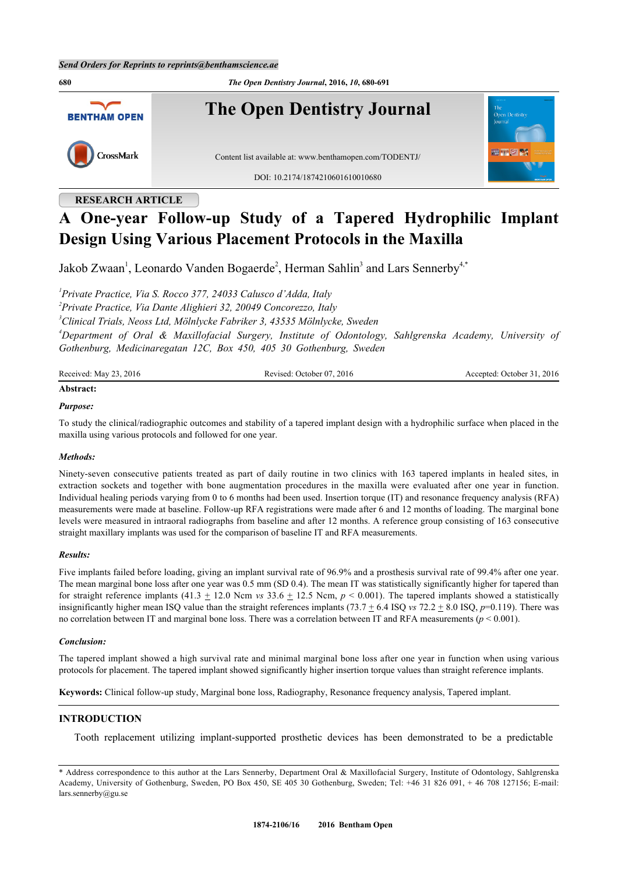**680** *The Open Dentistry Journal***, 2016,** *10***, 680-691 The Open Dentistry Journal BENTHAM OPEN** CrossMark Content list available at: [www.benthamopen.com/TODENTJ/](http://www.benthamopen.com/TODENTJ/) DOI: [10.2174/1874210601610010680](http://dx.doi.org/10.2174/1874210601610010680)

# **RESEARCH ARTICLE**

# **A One-year Follow-up Study of a Tapered Hydrophilic Implant Design Using Various Placement Protocols in the Maxilla**

Jakob Zwaan<sup>[1](#page-0-0)</sup>, Leonardo Vanden Bogaerde<sup>[2](#page-0-1)</sup>, Herman Sahlin<sup>[3](#page-0-2)</sup> and Lars Sennerby<sup>[4](#page-0-3),[\\*](#page-0-4)</sup>

<span id="page-0-2"></span><span id="page-0-1"></span><span id="page-0-0"></span> *Private Practice, Via S. Rocco 377, 24033 Calusco d'Adda, Italy Private Practice, Via Dante Alighieri 32, 20049 Concorezzo, Italy Clinical Trials, Neoss Ltd, Mölnlycke Fabriker 3, 43535 Mölnlycke, Sweden Department of Oral & Maxillofacial Surgery, Institute of Odontology, Sahlgrenska Academy, University of Gothenburg, Medicinaregatan 12C, Box 450, 405 30 Gothenburg, Sweden*

<span id="page-0-3"></span>

| Received: May 23, 2016 | Revised: October 07, 2016 | Accepted: October 31, 2016 |
|------------------------|---------------------------|----------------------------|
| Abstract:              |                           |                            |

## *Purpose:*

To study the clinical/radiographic outcomes and stability of a tapered implant design with a hydrophilic surface when placed in the maxilla using various protocols and followed for one year.

## *Methods:*

Ninety-seven consecutive patients treated as part of daily routine in two clinics with 163 tapered implants in healed sites, in extraction sockets and together with bone augmentation procedures in the maxilla were evaluated after one year in function. Individual healing periods varying from 0 to 6 months had been used. Insertion torque (IT) and resonance frequency analysis (RFA) measurements were made at baseline. Follow-up RFA registrations were made after 6 and 12 months of loading. The marginal bone levels were measured in intraoral radiographs from baseline and after 12 months. A reference group consisting of 163 consecutive straight maxillary implants was used for the comparison of baseline IT and RFA measurements.

## *Results:*

Five implants failed before loading, giving an implant survival rate of 96.9% and a prosthesis survival rate of 99.4% after one year. The mean marginal bone loss after one year was 0.5 mm (SD 0.4). The mean IT was statistically significantly higher for tapered than for straight reference implants  $(41.3 \pm 12.0 \text{ Ncm}$  *vs*  $33.6 \pm 12.5 \text{ Ncm}$ ,  $p < 0.001$ ). The tapered implants showed a statistically insignificantly higher mean ISQ value than the straight references implants (73.7  $\pm$  6.4 ISQ *vs* 72.2  $\pm$  8.0 ISQ, *p*=0.119). There was no correlation between IT and marginal bone loss. There was a correlation between IT and RFA measurements (*p* < 0.001).

#### *Conclusion:*

The tapered implant showed a high survival rate and minimal marginal bone loss after one year in function when using various protocols for placement. The tapered implant showed significantly higher insertion torque values than straight reference implants.

**Keywords:** Clinical follow-up study, Marginal bone loss, Radiography, Resonance frequency analysis, Tapered implant.

## **INTRODUCTION**

Tooth replacement utilizing implant-supported prosthetic devices has been demonstrated to be a predictable

<span id="page-0-4"></span><sup>\*</sup> Address correspondence to this author at the Lars Sennerby, Department Oral & Maxillofacial Surgery, Institute of Odontology, Sahlgrenska Academy, University of Gothenburg, Sweden, PO Box 450, SE 405 30 Gothenburg, Sweden; Tel: +46 31 826 091, + 46 708 127156; E-mail: [lars.sennerby@gu.se](mailto:lars.sennerby@gu.se)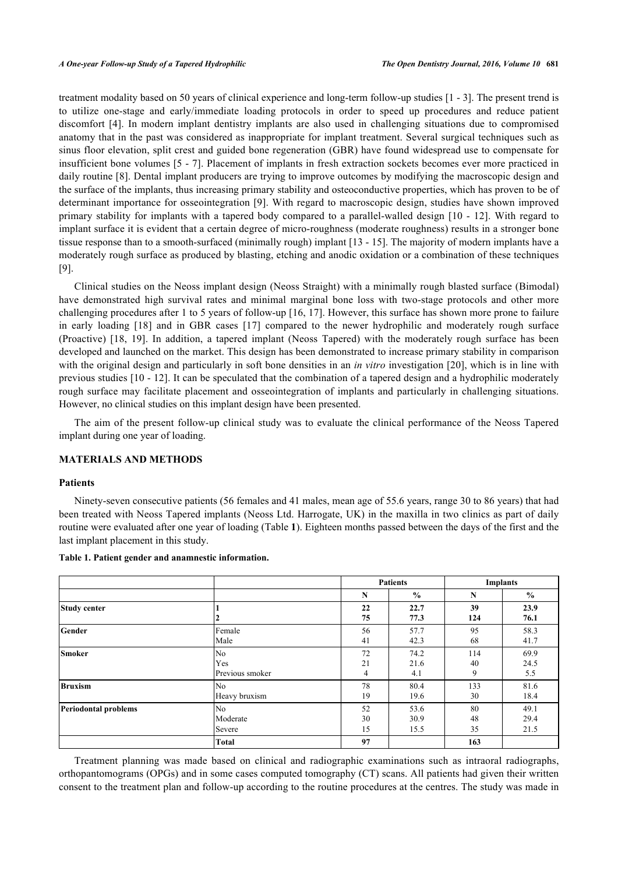treatment modality based on 50 years of clinical experience and long-term follow-up studies [[1](#page-9-0) - [3\]](#page-9-1). The present trend is to utilize one-stage and early/immediate loading protocols in order to speed up procedures and reduce patient discomfort [\[4\]](#page-9-2). In modern implant dentistry implants are also used in challenging situations due to compromised anatomy that in the past was considered as inappropriate for implant treatment. Several surgical techniques such as sinus floor elevation, split crest and guided bone regeneration (GBR) have found widespread use to compensate for insufficient bone volumes [\[5](#page-9-3) - [7](#page-9-4)]. Placement of implants in fresh extraction sockets becomes ever more practiced in daily routine [[8](#page-9-5)]. Dental implant producers are trying to improve outcomes by modifying the macroscopic design and the surface of the implants, thus increasing primary stability and osteoconductive properties, which has proven to be of determinant importance for osseointegration [[9\]](#page-9-6). With regard to macroscopic design, studies have shown improved primary stability for implants with a tapered body compared to a parallel-walled design [[10](#page-9-7) - [12\]](#page-9-8). With regard to implant surface it is evident that a certain degree of micro-roughness (moderate roughness) results in a stronger bone tissue response than to a smooth-surfaced (minimally rough) implant [[13](#page-9-9) - [15](#page-10-0)]. The majority of modern implants have a moderately rough surface as produced by blasting, etching and anodic oxidation or a combination of these techniques [\[9](#page-9-6)].

Clinical studies on the Neoss implant design (Neoss Straight) with a minimally rough blasted surface (Bimodal) have demonstrated high survival rates and minimal marginal bone loss with two-stage protocols and other more challenging procedures after 1 to 5 years of follow-up [[16](#page-10-1), [17](#page-10-2)]. However, this surface has shown more prone to failure in early loading[[18\]](#page-10-3) and in GBR cases[[17\]](#page-10-2) compared to the newer hydrophilic and moderately rough surface (Proactive)[[18,](#page-10-3) [19\]](#page-10-4). In addition, a tapered implant (Neoss Tapered) with the moderately rough surface has been developed and launched on the market. This design has been demonstrated to increase primary stability in comparison with the original design and particularly in soft bone densities in an *in vitro* investigation [[20](#page-10-5)], which is in line with previous studies [[10](#page-9-7) - [12](#page-9-8)]. It can be speculated that the combination of a tapered design and a hydrophilic moderately rough surface may facilitate placement and osseointegration of implants and particularly in challenging situations. However, no clinical studies on this implant design have been presented.

The aim of the present follow-up clinical study was to evaluate the clinical performance of the Neoss Tapered implant during one year of loading.

# **MATERIALS AND METHODS**

#### **Patients**

Ninety-seven consecutive patients (56 females and 41 males, mean age of 55.6 years, range 30 to 86 years) that had been treated with Neoss Tapered implants (Neoss Ltd. Harrogate, UK) in the maxilla in two clinics as part of daily routine were evaluated after one year of loading (Table **[1](#page-1-0)**). Eighteen months passed between the days of the first and the last implant placement in this study.

|                             |                 |          | <b>Patients</b> |           | <b>Implants</b> |
|-----------------------------|-----------------|----------|-----------------|-----------|-----------------|
|                             |                 | N        | $\frac{0}{0}$   | N         | $\frac{0}{0}$   |
| Study center                |                 | 22<br>75 | 22.7<br>77.3    | 39<br>124 | 23.9<br>76.1    |
| Gender                      | Female          | 56       | 57.7            | 95        | 58.3            |
|                             | Male            | 41       | 42.3            | 68        | 41.7            |
| <b>Smoker</b>               | No              | 72       | 74.2            | 114       | 69.9            |
|                             | Yes             | 21       | 21.6            | 40        | 24.5            |
|                             | Previous smoker | 4        | 4.1             | 9         | 5.5             |
| <b>Bruxism</b>              | No              | 78       | 80.4            | 133       | 81.6            |
|                             | Heavy bruxism   | 19       | 19.6            | 30        | 18.4            |
| <b>Periodontal problems</b> | No              | 52       | 53.6            | 80        | 49.1            |
|                             | Moderate        | 30       | 30.9            | 48        | 29.4            |
|                             | Severe          | 15       | 15.5            | 35        | 21.5            |
|                             | <b>Total</b>    | 97       |                 | 163       |                 |

<span id="page-1-0"></span>**Table 1. Patient gender and anamnestic information.**

Treatment planning was made based on clinical and radiographic examinations such as intraoral radiographs, orthopantomograms (OPGs) and in some cases computed tomography (CT) scans. All patients had given their written consent to the treatment plan and follow-up according to the routine procedures at the centres. The study was made in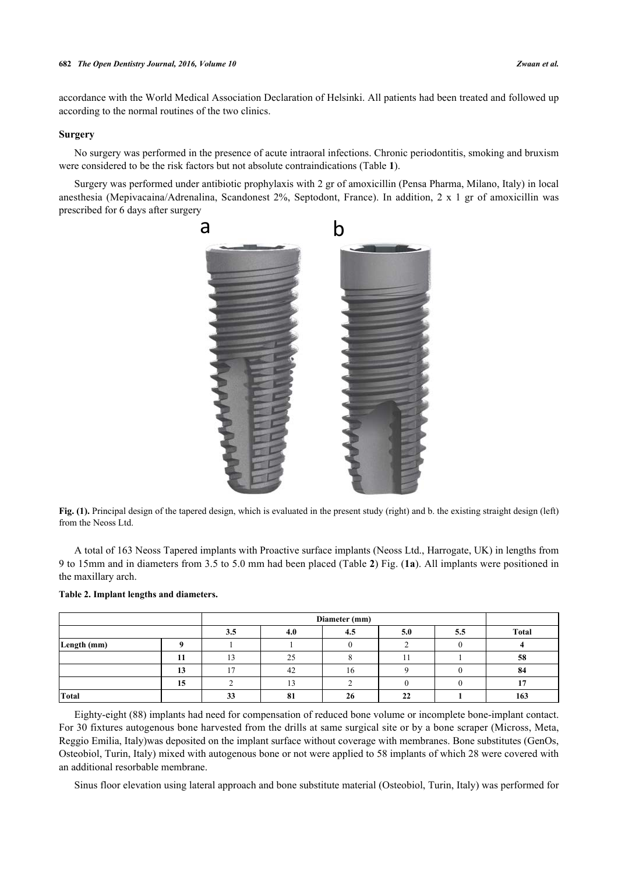accordance with the World Medical Association Declaration of Helsinki. All patients had been treated and followed up according to the normal routines of the two clinics.

# **Surgery**

No surgery was performed in the presence of acute intraoral infections. Chronic periodontitis, smoking and bruxism were considered to be the risk factors but not absolute contraindications (Table **[1](#page-1-0)**).

<span id="page-2-1"></span>Surgery was performed under antibiotic prophylaxis with 2 gr of amoxicillin (Pensa Pharma, Milano, Italy) in local anesthesia (Mepivacaina/Adrenalina, Scandonest 2%, Septodont, France). In addition, 2 x 1 gr of amoxicillin was prescribed for 6 days after surgery



**Fig. (1).** Principal design of the tapered design, which is evaluated in the present study (right) and b. the existing straight design (left) from the Neoss Ltd.

A total of 163 Neoss Tapered implants with Proactive surface implants (Neoss Ltd., Harrogate, UK) in lengths from 9 to 15mm and in diameters from 3.5 to 5.0 mm had been placed (Table **[2](#page-2-0)**) Fig. (**[1a](#page-2-1)**). All implants were positioned in the maxillary arch.

|             |    |            | Diameter (mm)        |     |     |     |              |  |
|-------------|----|------------|----------------------|-----|-----|-----|--------------|--|
|             |    | <b>J.J</b> | 4.0                  | 4.5 | 5.0 | 5.5 | <b>Total</b> |  |
| Length (mm) |    |            |                      |     |     |     |              |  |
|             | 11 |            | ل کے                 |     |     |     | 58           |  |
|             | 13 |            | 42                   | 16  |     |     | 84           |  |
|             | 15 |            |                      |     |     |     |              |  |
| Total       |    | 22<br>ມມ   | Q <sub>1</sub><br>ŌΙ | 26  | 22  |     | 163          |  |

#### <span id="page-2-0"></span>**Table 2. Implant lengths and diameters.**

Eighty-eight (88) implants had need for compensation of reduced bone volume or incomplete bone-implant contact. For 30 fixtures autogenous bone harvested from the drills at same surgical site or by a bone scraper (Micross, Meta, Reggio Emilia, Italy)was deposited on the implant surface without coverage with membranes. Bone substitutes (GenOs, Osteobiol, Turin, Italy) mixed with autogenous bone or not were applied to 58 implants of which 28 were covered with an additional resorbable membrane.

Sinus floor elevation using lateral approach and bone substitute material (Osteobiol, Turin, Italy) was performed for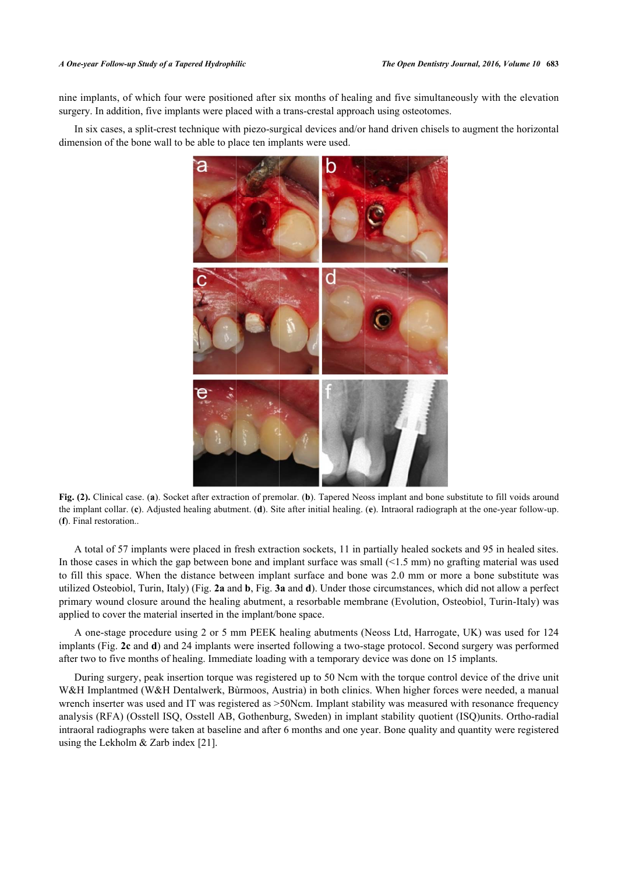nine implants, of which four were positioned after six months of healing and five simultaneously with the elevation surgery. In addition, five implants were placed with a trans-crestal approach using osteotomes.

<span id="page-3-0"></span>In six cases, a split-crest technique with piezo-surgical devices and/or hand driven chisels to augment the horizontal dimension of the bone wall to be able to place ten implants were used.



**Fig. (2).** Clinical case. (**a**). Socket after extraction of premolar. (**b**). Tapered Neoss implant and bone substitute to fill voids around the implant collar. (**c**). Adjusted healing abutment. (**d**). Site after initial healing. (**e**). Intraoral radiograph at the one-year follow-up. (**f**). Final restoration..

A total of 57 implants were placed in fresh extraction sockets, 11 in partially healed sockets and 95 in healed sites. In those cases in which the gap between bone and implant surface was small (<1.5 mm) no grafting material was used to fill this space. When the distance between implant surface and bone was 2.0 mm or more a bone substitute was utilized Osteobiol, Turin, Italy) (Fig. **[2a](#page-3-0)** and **[b](#page-3-0)**, Fig. **[3a](#page-3-1)** and **[d](#page-3-1)**). Under those circumstances, which did not allow a perfect primary wound closure around the healing abutment, a resorbable membrane (Evolution, Osteobiol, Turin-Italy) was applied to cover the material inserted in the implant/bone space.

A one-stage procedure using 2 or 5 mm PEEK healing abutments (Neoss Ltd, Harrogate, UK) was used for 124 implants (Fig. **[2c](#page-3-0)** and **[d](#page-3-0)**) and 24 implants were inserted following a two-stage protocol. Second surgery was performed after two to five months of healing. Immediate loading with a temporary device was done on 15 implants.

<span id="page-3-1"></span>During surgery, peak insertion torque was registered up to 50 Ncm with the torque control device of the drive unit W&H Implantmed (W&H Dentalwerk, Bùrmoos, Austria) in both clinics. When higher forces were needed, a manual wrench inserter was used and IT was registered as  $>50N$ cm. Implant stability was measured with resonance frequency analysis (RFA) (Osstell ISQ, Osstell AB, Gothenburg, Sweden) in implant stability quotient (ISQ)units. Ortho-radial intraoral radiographs were taken at baseline and after 6 months and one year. Bone quality and quantity were registered using the Lekholm & Zarb index [[21\]](#page-10-6).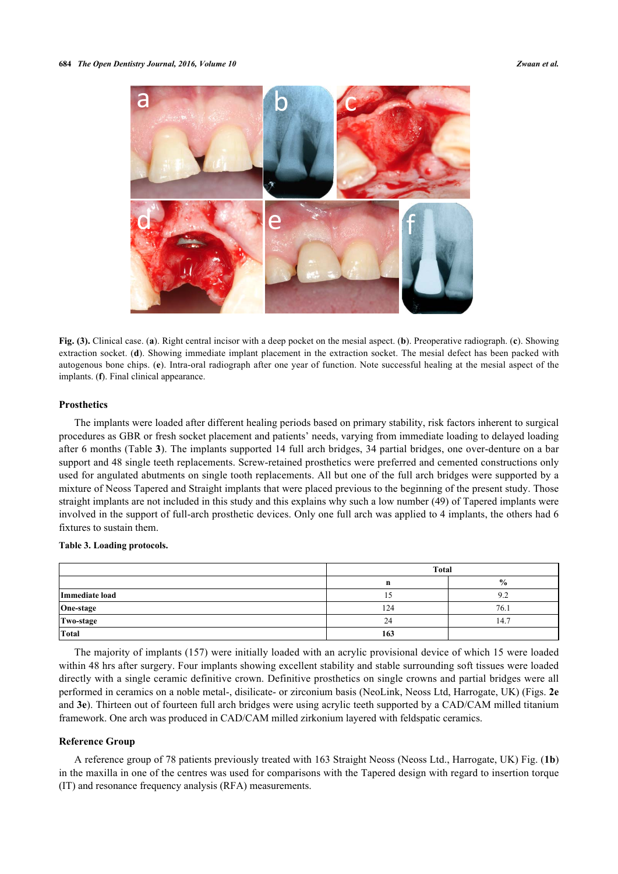

**Fig. (3).** Clinical case. (**a**). Right central incisor with a deep pocket on the mesial aspect. (**b**). Preoperative radiograph. (**c**). Showing extraction socket. (**d**). Showing immediate implant placement in the extraction socket. The mesial defect has been packed with autogenous bone chips. (**e**). Intra-oral radiograph after one year of function. Note successful healing at the mesial aspect of the implants. (**f**). Final clinical appearance.

#### **Prosthetics**

The implants were loaded after different healing periods based on primary stability, risk factors inherent to surgical procedures as GBR or fresh socket placement and patients' needs, varying from immediate loading to delayed loading after 6 months (Table **[3](#page-4-0)**). The implants supported 14 full arch bridges, 34 partial bridges, one over-denture on a bar support and 48 single teeth replacements. Screw-retained prosthetics were preferred and cemented constructions only used for angulated abutments on single tooth replacements. All but one of the full arch bridges were supported by a mixture of Neoss Tapered and Straight implants that were placed previous to the beginning of the present study. Those straight implants are not included in this study and this explains why such a low number (49) of Tapered implants were involved in the support of full-arch prosthetic devices. Only one full arch was applied to 4 implants, the others had 6 fixtures to sustain them.

# <span id="page-4-0"></span>**Table 3. Loading protocols.**

|                | <b>Total</b> |               |  |  |
|----------------|--------------|---------------|--|--|
|                | n            | $\frac{6}{9}$ |  |  |
| Immediate load |              | 9.2           |  |  |
| One-stage      | 124          | 76.1          |  |  |
| Two-stage      | 24           | 14.7          |  |  |
| Total          | 163          |               |  |  |

The majority of implants (157) were initially loaded with an acrylic provisional device of which 15 were loaded within 48 hrs after surgery. Four implants showing excellent stability and stable surrounding soft tissues were loaded directly with a single ceramic definitive crown. Definitive prosthetics on single crowns and partial bridges were all performed in ceramics on a noble metal-, disilicate- or zirconium basis (NeoLink, Neoss Ltd, Harrogate, UK) (Figs. **[2e](#page-3-0)** and **[3e](#page-3-1)**). Thirteen out of fourteen full arch bridges were using acrylic teeth supported by a CAD/CAM milled titanium framework. One arch was produced in CAD/CAM milled zirkonium layered with feldspatic ceramics.

## **Reference Group**

A reference group of 78 patients previously treated with 163 Straight Neoss (Neoss Ltd., Harrogate, UK) Fig. (**[1b](#page-2-1)**) in the maxilla in one of the centres was used for comparisons with the Tapered design with regard to insertion torque (IT) and resonance frequency analysis (RFA) measurements.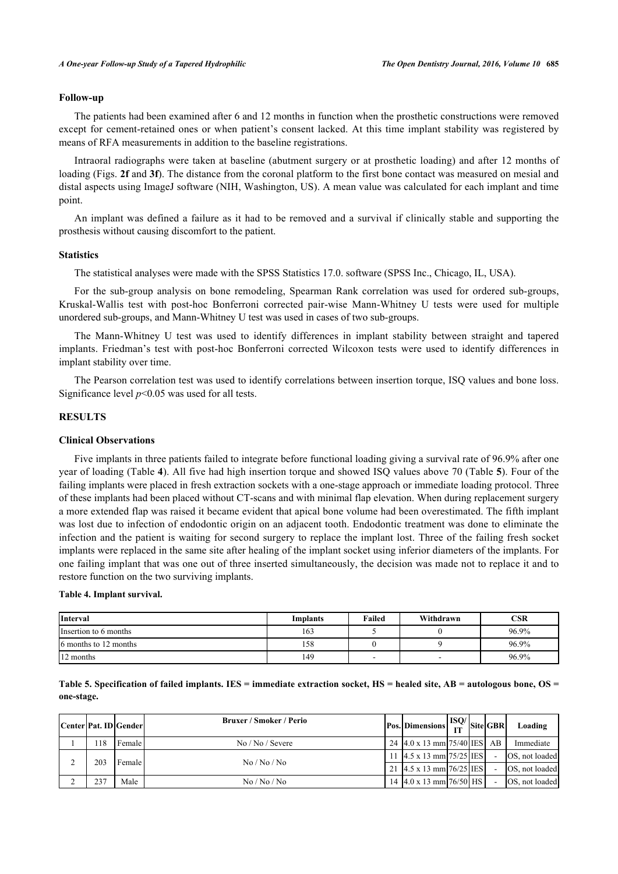#### **Follow-up**

The patients had been examined after 6 and 12 months in function when the prosthetic constructions were removed except for cement-retained ones or when patient's consent lacked. At this time implant stability was registered by means of RFA measurements in addition to the baseline registrations.

Intraoral radiographs were taken at baseline (abutment surgery or at prosthetic loading) and after 12 months of loading (Figs. **[2f](#page-3-0)** and **[3f](#page-3-1)**). The distance from the coronal platform to the first bone contact was measured on mesial and distal aspects using ImageJ software (NIH, Washington, US). A mean value was calculated for each implant and time point.

An implant was defined a failure as it had to be removed and a survival if clinically stable and supporting the prosthesis without causing discomfort to the patient.

#### **Statistics**

The statistical analyses were made with the SPSS Statistics 17.0. software (SPSS Inc., Chicago, IL, USA).

For the sub-group analysis on bone remodeling, Spearman Rank correlation was used for ordered sub-groups, Kruskal-Wallis test with post-hoc Bonferroni corrected pair-wise Mann-Whitney U tests were used for multiple unordered sub-groups, and Mann-Whitney U test was used in cases of two sub-groups.

The Mann-Whitney U test was used to identify differences in implant stability between straight and tapered implants. Friedman's test with post-hoc Bonferroni corrected Wilcoxon tests were used to identify differences in implant stability over time.

The Pearson correlation test was used to identify correlations between insertion torque, ISQ values and bone loss. Significance level *p*<0.05 was used for all tests.

## **RESULTS**

# **Clinical Observations**

Five implants in three patients failed to integrate before functional loading giving a survival rate of 96.9% after one year of loading ([Table](#page--1-0) **[4](#page--1-0)**). All five had high insertion torque and showed ISQ values above 70 ([Table](#page--1-0) **[5](#page--1-0)**). Four of the failing implants were placed in fresh extraction sockets with a one-stage approach or immediate loading protocol. Three of these implants had been placed without CT-scans and with minimal flap elevation. When during replacement surgery a more extended flap was raised it became evident that apical bone volume had been overestimated. The fifth implant was lost due to infection of endodontic origin on an adjacent tooth. Endodontic treatment was done to eliminate the infection and the patient is waiting for second surgery to replace the implant lost. Three of the failing fresh socket implants were replaced in the same site after healing of the implant socket using inferior diameters of the implants. For one failing implant that was one out of three inserted simultaneously, the decision was made not to replace it and to restore function on the two surviving implants.

#### **Table 4. Implant survival.**

| <b>Interval</b>        | Implants | Failed | Withdrawn | CSR   |
|------------------------|----------|--------|-----------|-------|
| Insertion to 6 months  | 163      |        |           | 96.9% |
| 16 months to 12 months | 158      |        |           | 96.9% |
| 12 months              | 149      | -      | -         | 96.9% |

**Table 5. Specification of failed implants. IES = immediate extraction socket, HS = healed site, AB = autologous bone, OS = one-stage.**

|  |     | Center Pat. ID Gender | <b>Bruxer / Smoker / Perio</b>    | $\log \left  \text{Dimensions} \right  \frac{\text{ISO}}{\text{LT}}$ Site GBR |                | Loading                |
|--|-----|-----------------------|-----------------------------------|-------------------------------------------------------------------------------|----------------|------------------------|
|  | 18  | Female                | No / No / Severe                  | 24 4.0 x 13 mm 75/40 IES AB                                                   |                | Immediate              |
|  | 203 | Female I              |                                   | 11 $4.5 \times 13$ mm $75/25$ IES                                             |                | OS, not loaded         |
|  |     | No/No/No              | 21 $4.5 \times 13$ mm $76/25$ IES |                                                                               | OS, not loaded |                        |
|  | 237 | Male                  | No/No/No                          | 14 $\left[4.0 \times 13 \right]$ mm $\left[76/50\right]$ HS                   |                | <b>OS</b> . not loaded |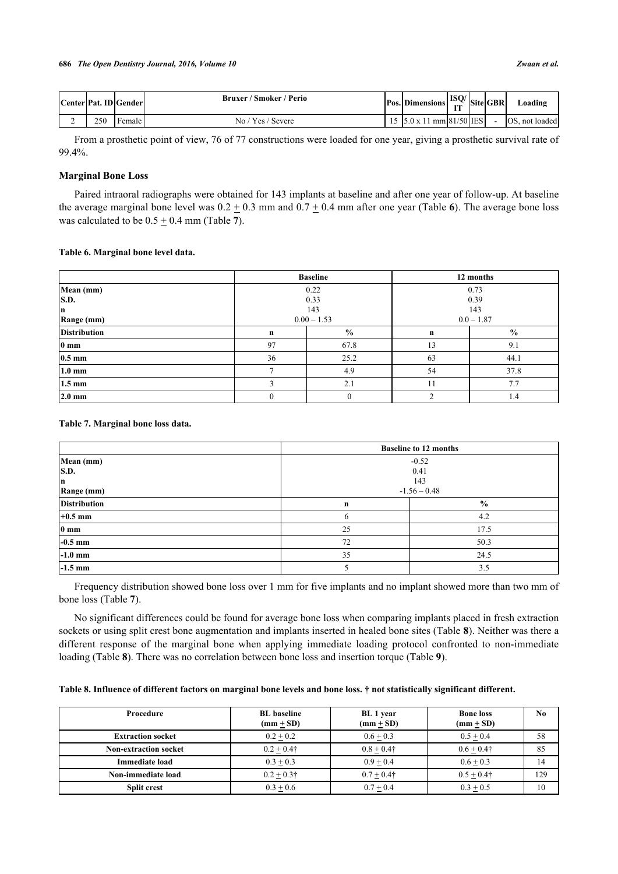|   |     | Center   Pat. ID   Gender | Bruxer / Smoker / Perio | <b>Pos. Dimensions</b>   | $ $ ISQ/ $ $ Site GBR $ $ |  | Loading        |
|---|-----|---------------------------|-------------------------|--------------------------|---------------------------|--|----------------|
| ∸ | 250 | Female                    | No / Yes / Severe       | 15 5.0 x 11 mm 81/50 IES |                           |  | OS, not loaded |

From a prosthetic point of view, 76 of 77 constructions were loaded for one year, giving a prosthetic survival rate of 99.4%.

# **Marginal Bone Loss**

Paired intraoral radiographs were obtained for 143 implants at baseline and after one year of follow-up. At baseline the average marginal bone level was  $0.2 \pm 0.3$  mm and  $0.7 \pm 0.4$  mm after one year ([Table](#page--1-0) [6](#page--1-0)). The average bone loss was calculated to be  $0.5 \pm 0.4$  mm ([Table](#page--1-0) [7](#page--1-0)).

# **Table 6. Marginal bone level data.**

|                     |          | <b>Baseline</b> | 12 months     |      |  |
|---------------------|----------|-----------------|---------------|------|--|
| Mean (mm)           |          | 0.22            | 0.73          |      |  |
| S.D.                |          | 0.33            |               | 0.39 |  |
| n                   |          | 143             |               | 143  |  |
| Range (mm)          |          | $0.00 - 1.53$   | $0.0 - 1.87$  |      |  |
| <b>Distribution</b> | n        | $\frac{6}{9}$   | $\mathbf n$   | $\%$ |  |
| 0 <sub>mm</sub>     | 97       | 67.8            | 13            | 9.1  |  |
| $0.5 \text{ mm}$    | 36       | 25.2            | 63            | 44.1 |  |
| $1.0 \text{ mm}$    |          | 4.9             | 54            | 37.8 |  |
| $1.5 \text{ mm}$    |          | 2.1             | 11            | 7.7  |  |
| $2.0 \text{ mm}$    | $\Omega$ | $\theta$        | $\mathcal{L}$ | 1.4  |  |

<span id="page-6-0"></span>**Table 7. Marginal bone loss data.**

|                     | <b>Baseline to 12 months</b> |                |  |  |
|---------------------|------------------------------|----------------|--|--|
| Mean (mm)           |                              | $-0.52$        |  |  |
| S.D.                |                              | 0.41           |  |  |
| n                   |                              | 143            |  |  |
| Range (mm)          |                              | $-1.56 - 0.48$ |  |  |
| <b>Distribution</b> | n                            | $\frac{6}{9}$  |  |  |
| $+0.5$ mm           | h                            | 4.2            |  |  |
| 0 <sub>mm</sub>     | 25                           | 17.5           |  |  |
| $-0.5$ mm           | 72                           | 50.3           |  |  |
| $-1.0$ mm           | 24.5<br>35                   |                |  |  |
| $-1.5$ mm           |                              | 3.5            |  |  |

Frequency distribution showed bone loss over 1 mm for five implants and no implant showed more than two mm of bone loss (Table **[7](#page-6-0)**).

No significant differences could be found for average bone loss when comparing implants placed in fresh extraction sockets or using split crest bone augmentation and implants inserted in healed bone sites (Table **[8](#page-6-1)**). Neither was there a different response of the marginal bone when applying immediate loading protocol confronted to non-immediate loading (Table **[8](#page-6-1)**). There was no correlation between bone loss and insertion torque (Table **[9](#page-7-0)**).

<span id="page-6-1"></span>

|  |  | Table 8. Influence of different factors on marginal bone levels and bone loss. † not statistically significant different. |
|--|--|---------------------------------------------------------------------------------------------------------------------------|
|  |  |                                                                                                                           |

| Procedure                    | <b>BL</b> baseline<br>$(mm + SD)$ | <b>BL</b> 1 year<br>$(mm \pm SD)$ | <b>Bone loss</b><br>$(mm + SD)$ | No. |
|------------------------------|-----------------------------------|-----------------------------------|---------------------------------|-----|
| <b>Extraction socket</b>     | $0.2 + 0.2$                       | $0.6 + 0.3$                       | $0.5 + 0.4$                     | 58  |
| <b>Non-extraction socket</b> | $0.2 + 0.4\dagger$                | $0.8 + 0.4\dagger$                | $0.6 + 0.4\dagger$              | 85  |
| <b>Immediate load</b>        | $0.3 + 0.3$                       | $0.9 + 0.4$                       | $0.6 + 0.3$                     | 14  |
| Non-immediate load           | $0.2 + 0.3\dagger$                | $0.7 + 0.4\dagger$                | $0.5 + 0.4\dagger$              | 129 |
| <b>Split crest</b>           | $0.3 + 0.6$                       | $0.7 + 0.4$                       | $0.3 + 0.5$                     | 10  |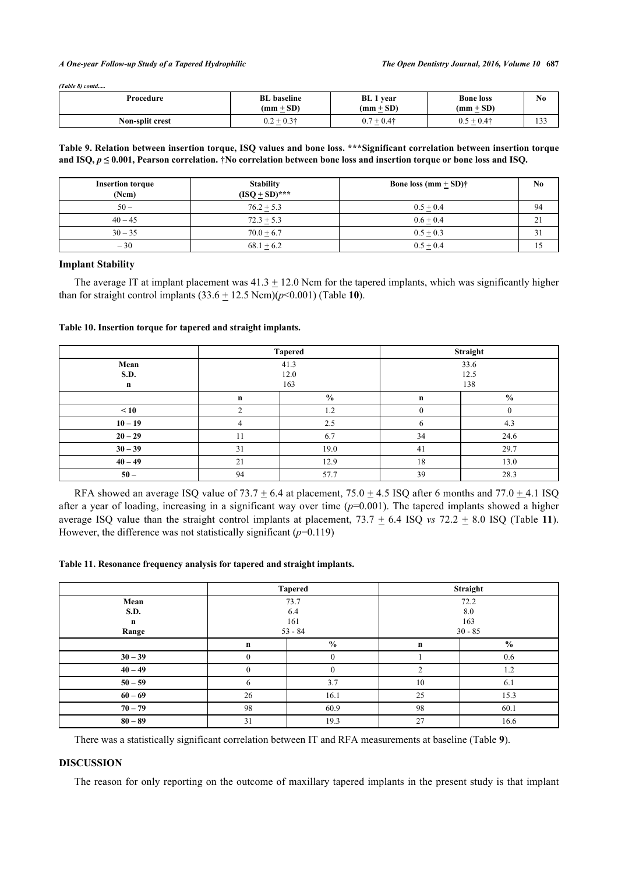#### *A One-year Follow-up Study of a Tapered Hydrophilic The Open Dentistry Journal, 2016, Volume 10* **687**

*(Table 8) contd.....*

| Procedure       | <b>BL</b> baseline<br>$(mm + SD)$<br>$\overline{\phantom{0}}$ | <b>BL</b> 1 year<br>$(mm \pm SD)$                                 | <b>Bone loss</b><br>$(mm + SD)$<br>$\overline{\phantom{0}}$ | N <sub>0</sub> |
|-----------------|---------------------------------------------------------------|-------------------------------------------------------------------|-------------------------------------------------------------|----------------|
| Non-split crest | $-0.3\dagger$<br><b>__</b><br>$\cup$ . $\sim$<br>-            | $\Omega$ $\tau$<br>- 0.4†<br>$\overline{\phantom{0}}$<br>U.7<br>– | $+0.4*$<br>0.5                                              | 133            |

<span id="page-7-0"></span>**Table 9. Relation between insertion torque, ISQ values and bone loss. \*\*\*Significant correlation between insertion torque** and ISQ,  $p \leq 0.001$ , Pearson correlation.  $\dagger$ No correlation between bone loss and insertion torque or bone loss and ISQ.

| <b>Insertion torque</b><br>(Ncm) | <b>Stability</b><br>$(ISO + SD)^{***}$ | Bone loss $(mm + SD)$ † | No. |
|----------------------------------|----------------------------------------|-------------------------|-----|
| $50 -$                           | $76.2 + 5.3$                           | $0.5 + 0.4$             | 94  |
| $40 - 45$                        | $72.3 + 5.3$                           | $0.6 + 0.4$             | 21  |
| $30 - 35$                        | $70.0 + 6.7$                           | $0.5 + 0.3$             | 31  |
| $-30$                            | $68.1 + 6.2$                           | $0.5 + 0.4$             |     |

#### **Implant Stability**

The average IT at implant placement was  $41.3 \pm 12.0$  Ncm for the tapered implants, which was significantly higher than for straight control implants  $(33.6 \pm 12.5 \text{ Ncm})$  $(p<0.001)$  (Table [10](#page-7-1)).

# <span id="page-7-1"></span>**Table 10. Insertion torque for tapered and straight implants.**

|             | <b>Tapered</b> |               | Straight |               |
|-------------|----------------|---------------|----------|---------------|
| Mean        | 41.3           |               | 33.6     |               |
| S.D.        | 12.0           |               | 12.5     |               |
| $\mathbf n$ | 163            |               | 138      |               |
|             | $\mathbf n$    | $\frac{0}{0}$ | n        | $\frac{6}{6}$ |
| $\leq 10$   |                | 1.2           | $\theta$ |               |
| $10 - 19$   |                | 2.5           | O        | 4.3           |
| $20 - 29$   | 11             | 6.7           | 34       | 24.6          |
| $30 - 39$   | 31             | 19.0          | 41       | 29.7          |
| $40 - 49$   | 21             | 12.9          | 18       | 13.0          |
| $50-$       | 94             | 57.7          | 39       | 28.3          |

RFA showed an average ISQ value of  $73.7 \pm 6.4$  at placement,  $75.0 \pm 4.5$  ISQ after 6 months and  $77.0 \pm 4.1$  ISQ after a year of loading, increasing in a significant way over time  $(p=0.001)$ . The tapered implants showed a higher average ISQ value than the straight control implants at placement,  $73.7 \pm 6.4$  ISQ *vs*  $72.2 \pm 8.0$  ISQ (Table [11](#page-7-2)). However, the difference was not statistically significant  $(p=0.119)$ 

#### <span id="page-7-2"></span>**Table 11. Resonance frequency analysis for tapered and straight implants.**

|             | <b>Tapered</b> |               | Straight  |                |
|-------------|----------------|---------------|-----------|----------------|
| Mean        | 73.7           |               | 72.2      |                |
| S.D.        | 6.4            |               | 8.0       |                |
| $\mathbf n$ | 161            |               | 163       |                |
| Range       | $53 - 84$      |               | $30 - 85$ |                |
|             | n              | $\frac{0}{0}$ | n         | $\frac{6}{10}$ |
| $30 - 39$   | $\Omega$       | $\theta$      |           | 0.6            |
| $40 - 49$   | $\theta$       |               | ◠         | 1.2            |
| $50 - 59$   | 6              | 3.7           | 10        | 6.1            |
| $60 - 69$   | 26             | 16.1          | 25        | 15.3           |
| $70 - 79$   | 98             | 60.9          | 98        | 60.1           |
| $80 - 89$   | 31             | 19.3          | 27        | 16.6           |

There was a statistically significant correlation between IT and RFA measurements at baseline ([Table](#page--1-0) **[9](#page--1-0)**).

#### **DISCUSSION**

The reason for only reporting on the outcome of maxillary tapered implants in the present study is that implant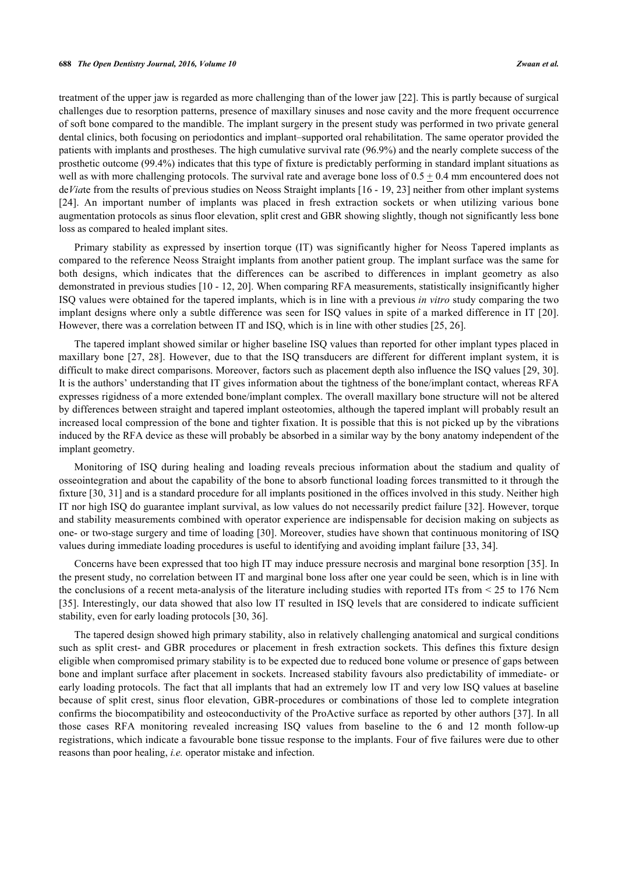treatment of the upper jaw is regarded as more challenging than of the lower jaw [\[22](#page-10-7)]. This is partly because of surgical challenges due to resorption patterns, presence of maxillary sinuses and nose cavity and the more frequent occurrence of soft bone compared to the mandible. The implant surgery in the present study was performed in two private general dental clinics, both focusing on periodontics and implant–supported oral rehabilitation. The same operator provided the patients with implants and prostheses. The high cumulative survival rate (96.9%) and the nearly complete success of the prosthetic outcome (99.4%) indicates that this type of fixture is predictably performing in standard implant situations as well as with more challenging protocols. The survival rate and average bone loss of  $0.5 + 0.4$  mm encountered does not de*Via*te from the results of previous studies on Neoss Straight implants [\[16](#page-10-1) - [19,](#page-10-4) [23](#page-10-8)] neither from other implant systems [\[24](#page-10-9)]. An important number of implants was placed in fresh extraction sockets or when utilizing various bone augmentation protocols as sinus floor elevation, split crest and GBR showing slightly, though not significantly less bone loss as compared to healed implant sites.

Primary stability as expressed by insertion torque (IT) was significantly higher for Neoss Tapered implants as compared to the reference Neoss Straight implants from another patient group. The implant surface was the same for both designs, which indicates that the differences can be ascribed to differences in implant geometry as also demonstrated in previous studies [[10](#page-9-7) - [12](#page-9-8), [20\]](#page-10-5). When comparing RFA measurements, statistically insignificantly higher ISQ values were obtained for the tapered implants, which is in line with a previous *in vitro* study comparing the two implant designs where only a subtle difference was seen for ISQ values in spite of a marked difference in IT [\[20\]](#page-10-5). However, there was a correlation between IT and ISQ, which is in line with other studies [\[25](#page-10-10), [26](#page-10-11)].

The tapered implant showed similar or higher baseline ISQ values than reported for other implant types placed in maxillary bone [[27,](#page-10-12) [28](#page-10-13)]. However, due to that the ISQ transducers are different for different implant system, it is difficult to make direct comparisons. Moreover, factors such as placement depth also influence the ISO values [[29,](#page-10-14) [30\]](#page-10-15). It is the authors' understanding that IT gives information about the tightness of the bone/implant contact, whereas RFA expresses rigidness of a more extended bone/implant complex. The overall maxillary bone structure will not be altered by differences between straight and tapered implant osteotomies, although the tapered implant will probably result an increased local compression of the bone and tighter fixation. It is possible that this is not picked up by the vibrations induced by the RFA device as these will probably be absorbed in a similar way by the bony anatomy independent of the implant geometry.

Monitoring of ISQ during healing and loading reveals precious information about the stadium and quality of osseointegration and about the capability of the bone to absorb functional loading forces transmitted to it through the fixture [\[30](#page-10-15), [31](#page-10-16)] and is a standard procedure for all implants positioned in the offices involved in this study. Neither high IT nor high ISQ do guarantee implant survival, as low values do not necessarily predict failure [\[32](#page-10-17)]. However, torque and stability measurements combined with operator experience are indispensable for decision making on subjects as one- or two-stage surgery and time of loading [[30\]](#page-10-15). Moreover, studies have shown that continuous monitoring of ISQ values during immediate loading procedures is useful to identifying and avoiding implant failure [\[33](#page-10-18), [34](#page-11-0)].

Concerns have been expressed that too high IT may induce pressure necrosis and marginal bone resorption [[35\]](#page-11-1). In the present study, no correlation between IT and marginal bone loss after one year could be seen, which is in line with the conclusions of a recent meta-analysis of the literature including studies with reported ITs from < 25 to 176 Ncm [\[35](#page-11-1)]. Interestingly, our data showed that also low IT resulted in ISQ levels that are considered to indicate sufficient stability, even for early loading protocols [[30,](#page-10-15) [36\]](#page-11-2).

The tapered design showed high primary stability, also in relatively challenging anatomical and surgical conditions such as split crest- and GBR procedures or placement in fresh extraction sockets. This defines this fixture design eligible when compromised primary stability is to be expected due to reduced bone volume or presence of gaps between bone and implant surface after placement in sockets. Increased stability favours also predictability of immediate- or early loading protocols. The fact that all implants that had an extremely low IT and very low ISQ values at baseline because of split crest, sinus floor elevation, GBR-procedures or combinations of those led to complete integration confirms the biocompatibility and osteoconductivity of the ProActive surface as reported by other authors [[37](#page-11-3)]. In all those cases RFA monitoring revealed increasing ISQ values from baseline to the 6 and 12 month follow-up registrations, which indicate a favourable bone tissue response to the implants. Four of five failures were due to other reasons than poor healing, *i.e.* operator mistake and infection.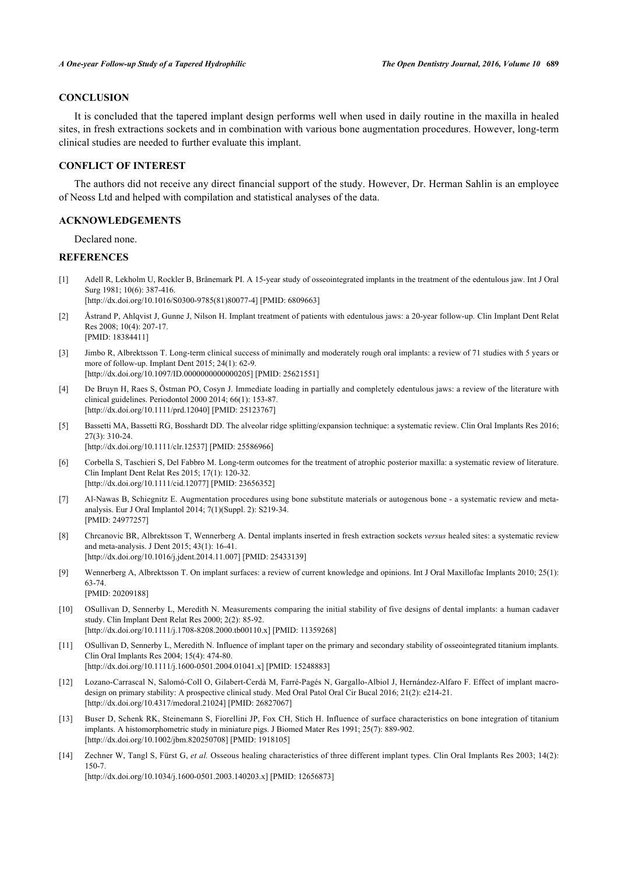# **CONCLUSION**

It is concluded that the tapered implant design performs well when used in daily routine in the maxilla in healed sites, in fresh extractions sockets and in combination with various bone augmentation procedures. However, long-term clinical studies are needed to further evaluate this implant.

# **CONFLICT OF INTEREST**

The authors did not receive any direct financial support of the study. However, Dr. Herman Sahlin is an employee of Neoss Ltd and helped with compilation and statistical analyses of the data.

# **ACKNOWLEDGEMENTS**

Declared none.

#### **REFERENCES**

- <span id="page-9-0"></span>[1] Adell R, Lekholm U, Rockler B, Brånemark PI. A 15-year study of osseointegrated implants in the treatment of the edentulous jaw. Int J Oral Surg 1981; 10(6): 387-416. [\[http://dx.doi.org/10.1016/S0300-9785\(81\)80077-4\]](http://dx.doi.org/10.1016/S0300-9785(81)80077-4) [PMID: [6809663](http://www.ncbi.nlm.nih.gov/pubmed/6809663)]
- [2] Åstrand P, Ahlqvist J, Gunne J, Nilson H. Implant treatment of patients with edentulous jaws: a 20-year follow-up. Clin Implant Dent Relat Res 2008; 10(4): 207-17. [PMID: [18384411\]](http://www.ncbi.nlm.nih.gov/pubmed/18384411)
- <span id="page-9-1"></span>[3] Jimbo R, Albrektsson T. Long-term clinical success of minimally and moderately rough oral implants: a review of 71 studies with 5 years or more of follow-up. Implant Dent 2015; 24(1): 62-9. [\[http://dx.doi.org/10.1097/ID.0000000000000205](http://dx.doi.org/10.1097/ID.0000000000000205)] [PMID: [25621551\]](http://www.ncbi.nlm.nih.gov/pubmed/25621551)
- <span id="page-9-2"></span>[4] De Bruyn H, Raes S, Östman PO, Cosyn J. Immediate loading in partially and completely edentulous jaws: a review of the literature with clinical guidelines. Periodontol 2000 2014; 66(1): 153-87. [\[http://dx.doi.org/10.1111/prd.12040](http://dx.doi.org/10.1111/prd.12040)] [PMID: [25123767](http://www.ncbi.nlm.nih.gov/pubmed/25123767)]
- <span id="page-9-3"></span>[5] Bassetti MA, Bassetti RG, Bosshardt DD. The alveolar ridge splitting/expansion technique: a systematic review. Clin Oral Implants Res 2016; 27(3): 310-24. [\[http://dx.doi.org/10.1111/clr.12537](http://dx.doi.org/10.1111/clr.12537)] [PMID: [25586966\]](http://www.ncbi.nlm.nih.gov/pubmed/25586966)
- [6] Corbella S, Taschieri S, Del Fabbro M. Long-term outcomes for the treatment of atrophic posterior maxilla: a systematic review of literature. Clin Implant Dent Relat Res 2015; 17(1): 120-32. [\[http://dx.doi.org/10.1111/cid.12077\]](http://dx.doi.org/10.1111/cid.12077) [PMID: [23656352](http://www.ncbi.nlm.nih.gov/pubmed/23656352)]
- <span id="page-9-4"></span>[7] Al-Nawas B, Schiegnitz E. Augmentation procedures using bone substitute materials or autogenous bone - a systematic review and metaanalysis. Eur J Oral Implantol 2014; 7(1)(Suppl. 2): S219-34. [PMID: [24977257\]](http://www.ncbi.nlm.nih.gov/pubmed/24977257)
- <span id="page-9-5"></span>[8] Chrcanovic BR, Albrektsson T, Wennerberg A. Dental implants inserted in fresh extraction sockets *versus* healed sites: a systematic review and meta-analysis. J Dent 2015; 43(1): 16-41. [\[http://dx.doi.org/10.1016/j.jdent.2014.11.007](http://dx.doi.org/10.1016/j.jdent.2014.11.007)] [PMID: [25433139\]](http://www.ncbi.nlm.nih.gov/pubmed/25433139)
- <span id="page-9-6"></span>[9] Wennerberg A, Albrektsson T. On implant surfaces: a review of current knowledge and opinions. Int J Oral Maxillofac Implants 2010; 25(1): 63-74. [PMID: [20209188\]](http://www.ncbi.nlm.nih.gov/pubmed/20209188)
- <span id="page-9-7"></span>[10] OSullivan D, Sennerby L, Meredith N. Measurements comparing the initial stability of five designs of dental implants: a human cadaver study. Clin Implant Dent Relat Res 2000; 2(2): 85-92. [\[http://dx.doi.org/10.1111/j.1708-8208.2000.tb00110.x\]](http://dx.doi.org/10.1111/j.1708-8208.2000.tb00110.x) [PMID: [11359268](http://www.ncbi.nlm.nih.gov/pubmed/11359268)]
- [11] OSullivan D, Sennerby L, Meredith N. Influence of implant taper on the primary and secondary stability of osseointegrated titanium implants. Clin Oral Implants Res 2004; 15(4): 474-80. [\[http://dx.doi.org/10.1111/j.1600-0501.2004.01041.x\]](http://dx.doi.org/10.1111/j.1600-0501.2004.01041.x) [PMID: [15248883](http://www.ncbi.nlm.nih.gov/pubmed/15248883)]
- <span id="page-9-8"></span>[12] Lozano-Carrascal N, Salomó-Coll O, Gilabert-Cerdà M, Farré-Pagés N, Gargallo-Albiol J, Hernández-Alfaro F. Effect of implant macrodesign on primary stability: A prospective clinical study. Med Oral Patol Oral Cir Bucal 2016; 21(2): e214-21. [\[http://dx.doi.org/10.4317/medoral.21024](http://dx.doi.org/10.4317/medoral.21024)] [PMID: [26827067\]](http://www.ncbi.nlm.nih.gov/pubmed/26827067)
- <span id="page-9-9"></span>[13] Buser D, Schenk RK, Steinemann S, Fiorellini JP, Fox CH, Stich H. Influence of surface characteristics on bone integration of titanium implants. A histomorphometric study in miniature pigs. J Biomed Mater Res 1991; 25(7): 889-902. [\[http://dx.doi.org/10.1002/jbm.820250708](http://dx.doi.org/10.1002/jbm.820250708)] [PMID: [1918105\]](http://www.ncbi.nlm.nih.gov/pubmed/1918105)
- [14] Zechner W, Tangl S, Fürst G, *et al.* Osseous healing characteristics of three different implant types. Clin Oral Implants Res 2003; 14(2): 150-7.

[\[http://dx.doi.org/10.1034/j.1600-0501.2003.140203.x\]](http://dx.doi.org/10.1034/j.1600-0501.2003.140203.x) [PMID: [12656873](http://www.ncbi.nlm.nih.gov/pubmed/12656873)]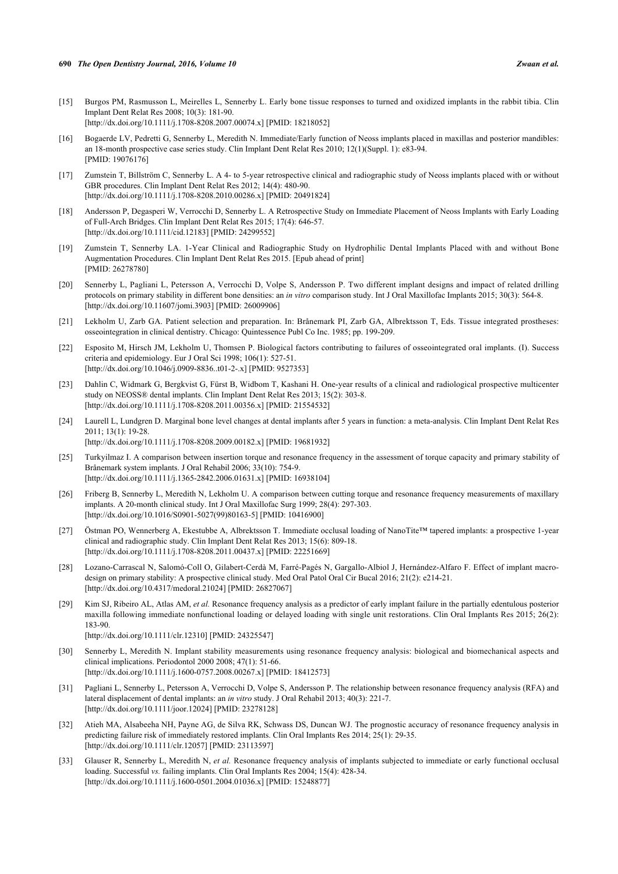- <span id="page-10-0"></span>[15] Burgos PM, Rasmusson L, Meirelles L, Sennerby L. Early bone tissue responses to turned and oxidized implants in the rabbit tibia. Clin Implant Dent Relat Res 2008; 10(3): 181-90. [\[http://dx.doi.org/10.1111/j.1708-8208.2007.00074.x\]](http://dx.doi.org/10.1111/j.1708-8208.2007.00074.x) [PMID: [18218052](http://www.ncbi.nlm.nih.gov/pubmed/18218052)]
- <span id="page-10-1"></span>[16] Bogaerde LV, Pedretti G, Sennerby L, Meredith N. Immediate/Early function of Neoss implants placed in maxillas and posterior mandibles: an 18-month prospective case series study. Clin Implant Dent Relat Res 2010; 12(1)(Suppl. 1): e83-94. [PMID: [19076176\]](http://www.ncbi.nlm.nih.gov/pubmed/19076176)
- <span id="page-10-2"></span>[17] Zumstein T, Billström C, Sennerby L. A 4- to 5-year retrospective clinical and radiographic study of Neoss implants placed with or without GBR procedures. Clin Implant Dent Relat Res 2012; 14(4): 480-90. [\[http://dx.doi.org/10.1111/j.1708-8208.2010.00286.x\]](http://dx.doi.org/10.1111/j.1708-8208.2010.00286.x) [PMID: [20491824](http://www.ncbi.nlm.nih.gov/pubmed/20491824)]
- <span id="page-10-3"></span>[18] Andersson P, Degasperi W, Verrocchi D, Sennerby L. A Retrospective Study on Immediate Placement of Neoss Implants with Early Loading of Full-Arch Bridges. Clin Implant Dent Relat Res 2015; 17(4): 646-57. [\[http://dx.doi.org/10.1111/cid.12183\]](http://dx.doi.org/10.1111/cid.12183) [PMID: [24299552](http://www.ncbi.nlm.nih.gov/pubmed/24299552)]
- <span id="page-10-4"></span>[19] Zumstein T, Sennerby LA. 1-Year Clinical and Radiographic Study on Hydrophilic Dental Implants Placed with and without Bone Augmentation Procedures. Clin Implant Dent Relat Res 2015. [Epub ahead of print] [PMID: [26278780\]](http://www.ncbi.nlm.nih.gov/pubmed/26278780)
- <span id="page-10-5"></span>[20] Sennerby L, Pagliani L, Petersson A, Verrocchi D, Volpe S, Andersson P. Two different implant designs and impact of related drilling protocols on primary stability in different bone densities: an *in vitro* comparison study. Int J Oral Maxillofac Implants 2015; 30(3): 564-8. [\[http://dx.doi.org/10.11607/jomi.3903](http://dx.doi.org/10.11607/jomi.3903)] [PMID: [26009906](http://www.ncbi.nlm.nih.gov/pubmed/26009906)]
- <span id="page-10-6"></span>[21] Lekholm U, Zarb GA. Patient selection and preparation. In: Brånemark PI, Zarb GA, Albrektsson T, Eds. Tissue integrated prostheses: osseointegration in clinical dentistry. Chicago: Quintessence Publ Co Inc. 1985; pp. 199-209.
- <span id="page-10-7"></span>[22] Esposito M, Hirsch JM, Lekholm U, Thomsen P. Biological factors contributing to failures of osseointegrated oral implants. (I). Success criteria and epidemiology. Eur J Oral Sci 1998; 106(1): 527-51. [\[http://dx.doi.org/10.1046/j.0909-8836..t01-2-.x](http://dx.doi.org/10.1046/j.0909-8836..t01-2-.x)] [PMID: [9527353\]](http://www.ncbi.nlm.nih.gov/pubmed/9527353)
- <span id="page-10-8"></span>[23] Dahlin C, Widmark G, Bergkvist G, Fürst B, Widbom T, Kashani H. One-year results of a clinical and radiological prospective multicenter study on NEOSS® dental implants. Clin Implant Dent Relat Res 2013; 15(2): 303-8. [\[http://dx.doi.org/10.1111/j.1708-8208.2011.00356.x\]](http://dx.doi.org/10.1111/j.1708-8208.2011.00356.x) [PMID: [21554532](http://www.ncbi.nlm.nih.gov/pubmed/21554532)]
- <span id="page-10-9"></span>[24] Laurell L, Lundgren D. Marginal bone level changes at dental implants after 5 years in function: a meta-analysis. Clin Implant Dent Relat Res 2011; 13(1): 19-28.
- [\[http://dx.doi.org/10.1111/j.1708-8208.2009.00182.x\]](http://dx.doi.org/10.1111/j.1708-8208.2009.00182.x) [PMID: [19681932](http://www.ncbi.nlm.nih.gov/pubmed/19681932)]
- <span id="page-10-10"></span>[25] Turkyilmaz I. A comparison between insertion torque and resonance frequency in the assessment of torque capacity and primary stability of Brånemark system implants. J Oral Rehabil 2006; 33(10): 754-9. [\[http://dx.doi.org/10.1111/j.1365-2842.2006.01631.x\]](http://dx.doi.org/10.1111/j.1365-2842.2006.01631.x) [PMID: [16938104](http://www.ncbi.nlm.nih.gov/pubmed/16938104)]
- <span id="page-10-11"></span>[26] Friberg B, Sennerby L, Meredith N, Lekholm U. A comparison between cutting torque and resonance frequency measurements of maxillary implants. A 20-month clinical study. Int J Oral Maxillofac Surg 1999; 28(4): 297-303. [\[http://dx.doi.org/10.1016/S0901-5027\(99\)80163-5\]](http://dx.doi.org/10.1016/S0901-5027(99)80163-5) [PMID: [10416900](http://www.ncbi.nlm.nih.gov/pubmed/10416900)]
- <span id="page-10-12"></span>[27] Östman PO, Wennerberg A, Ekestubbe A, Albrektsson T. Immediate occlusal loading of NanoTite™ tapered implants: a prospective 1-year clinical and radiographic study. Clin Implant Dent Relat Res 2013; 15(6): 809-18. [\[http://dx.doi.org/10.1111/j.1708-8208.2011.00437.x\]](http://dx.doi.org/10.1111/j.1708-8208.2011.00437.x) [PMID: [22251669](http://www.ncbi.nlm.nih.gov/pubmed/22251669)]
- <span id="page-10-13"></span>[28] Lozano-Carrascal N, Salomó-Coll O, Gilabert-Cerdà M, Farré-Pagés N, Gargallo-Albiol J, Hernández-Alfaro F. Effect of implant macrodesign on primary stability: A prospective clinical study. Med Oral Patol Oral Cir Bucal 2016; 21(2): e214-21. [\[http://dx.doi.org/10.4317/medoral.21024](http://dx.doi.org/10.4317/medoral.21024)] [PMID: [26827067\]](http://www.ncbi.nlm.nih.gov/pubmed/26827067)
- <span id="page-10-14"></span>[29] Kim SJ, Ribeiro AL, Atlas AM, *et al.* Resonance frequency analysis as a predictor of early implant failure in the partially edentulous posterior maxilla following immediate nonfunctional loading or delayed loading with single unit restorations. Clin Oral Implants Res 2015; 26(2): 183-90. [\[http://dx.doi.org/10.1111/clr.12310](http://dx.doi.org/10.1111/clr.12310)] [PMID: [24325547\]](http://www.ncbi.nlm.nih.gov/pubmed/24325547)
- <span id="page-10-15"></span>[30] Sennerby L, Meredith N. Implant stability measurements using resonance frequency analysis: biological and biomechanical aspects and clinical implications. Periodontol 2000 2008; 47(1): 51-66. [\[http://dx.doi.org/10.1111/j.1600-0757.2008.00267.x\]](http://dx.doi.org/10.1111/j.1600-0757.2008.00267.x) [PMID: [18412573](http://www.ncbi.nlm.nih.gov/pubmed/18412573)]
- <span id="page-10-16"></span>[31] Pagliani L, Sennerby L, Petersson A, Verrocchi D, Volpe S, Andersson P. The relationship between resonance frequency analysis (RFA) and lateral displacement of dental implants: an *in vitro* study. J Oral Rehabil 2013; 40(3): 221-7. [\[http://dx.doi.org/10.1111/joor.12024\]](http://dx.doi.org/10.1111/joor.12024) [PMID: [23278128](http://www.ncbi.nlm.nih.gov/pubmed/23278128)]
- <span id="page-10-17"></span>[32] Atieh MA, Alsabeeha NH, Payne AG, de Silva RK, Schwass DS, Duncan WJ. The prognostic accuracy of resonance frequency analysis in predicting failure risk of immediately restored implants. Clin Oral Implants Res 2014; 25(1): 29-35. [\[http://dx.doi.org/10.1111/clr.12057](http://dx.doi.org/10.1111/clr.12057)] [PMID: [23113597\]](http://www.ncbi.nlm.nih.gov/pubmed/23113597)
- <span id="page-10-18"></span>[33] Glauser R, Sennerby L, Meredith N, *et al.* Resonance frequency analysis of implants subjected to immediate or early functional occlusal loading. Successful *vs.* failing implants. Clin Oral Implants Res 2004; 15(4): 428-34. [\[http://dx.doi.org/10.1111/j.1600-0501.2004.01036.x\]](http://dx.doi.org/10.1111/j.1600-0501.2004.01036.x) [PMID: [15248877](http://www.ncbi.nlm.nih.gov/pubmed/15248877)]